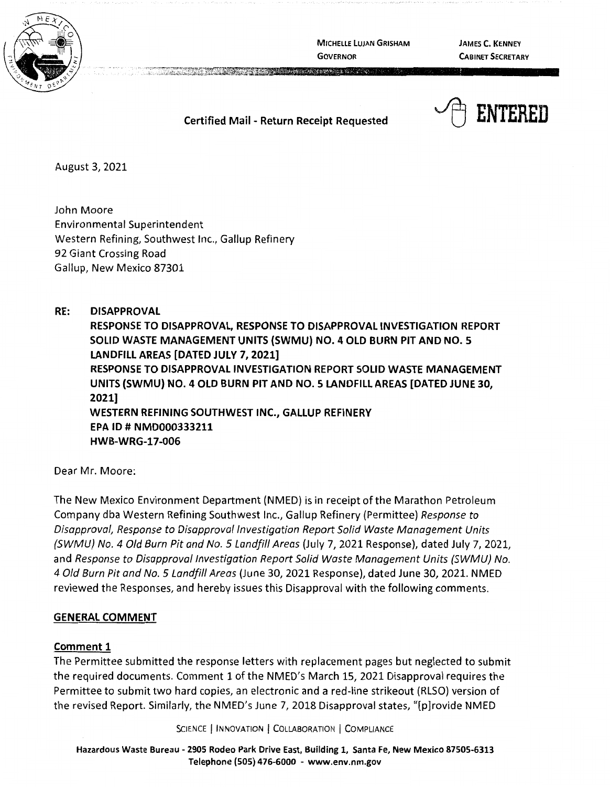

**MICHELLE LUJAN GRISHAM GOVERNOR** 

**JAMES C. KENNEY CABINET SECRETARY** 

**Certified Mail** - **Return Receipt Requested** 



August 3, 2021

John Moore Environmental Superintendent Western Refining, Southwest Inc., Gallup Refinery 92 Giant Crossing Road Gallup, New Mexico 87301

**RE: DISAPPROVAL RESPONSE TO DISAPPROVAL, RESPONSE TO DISAPPROVAL INVESTIGATION REPORT SOLID WASTE MANAGEMENT UNITS {SWMU) NO. 4 OLD BURN PIT AND NO. 5 LANDFILL AREAS [DATED JULY 7, 2021] RESPONSE TO DISAPPROVAL INVESTIGATION REPORT SOLID WASTE MANAGEMENT UNITS {SWMU) NO. 4 OLD BURN PIT AND NO. 5 LANDFILL AREAS [DATED JUNE 30, 2021] WESTERN REFINING SOUTHWEST INC., GALLUP REFINERY EPA** ID# **NMD000333211 HWB-WRG-17-006** 

Dear Mr. Moore:

The New Mexico Environment Department (NMED) is in receipt of the Marathon Petroleum Company dba Western Refining Southwest Inc., Gallup Refinery (Permittee) Response to Disapproval, Response to Disapproval Investigation Report Solid Waste Management Units (SWMU) No. 4 Old Burn Pit and No. 5 Landfill Areas (July 7, 2021 Response), dated July 7, 2021, and Response to Disapproval Investigation Report Solid Waste Management Units {SWMU) No. 4 Old Burn Pit and No. 5 Landfill Areas (June 30, 2021 Response), dated June 30, 2021. NMED reviewed the Responses, and hereby issues this Disapproval with the following comments.

# **GENERAL COMMENT**

# **Comment 1**

The Permittee submitted the response letters with replacement pages but neglected to submit the required documents. Comment 1 of the NMED's March 15, 2021 Disapproval requires the Permittee to submit two hard copies, an electronic and a red-line strikeout (RLSO) version of the revised Report. Similarly, the NMED's June 7, 2018 Disapproval states, "[p]rovide NMED

SCIENCE | INNOVATION | COLLABORATION | COMPLIANCE

**Hazardous Waste Bureau** - **2905 Rodeo Park Drive East, Building 1, Santa Fe, New Mexico 87505-6313 Telephone (505) 476-6000** - **www.env.nm.gov**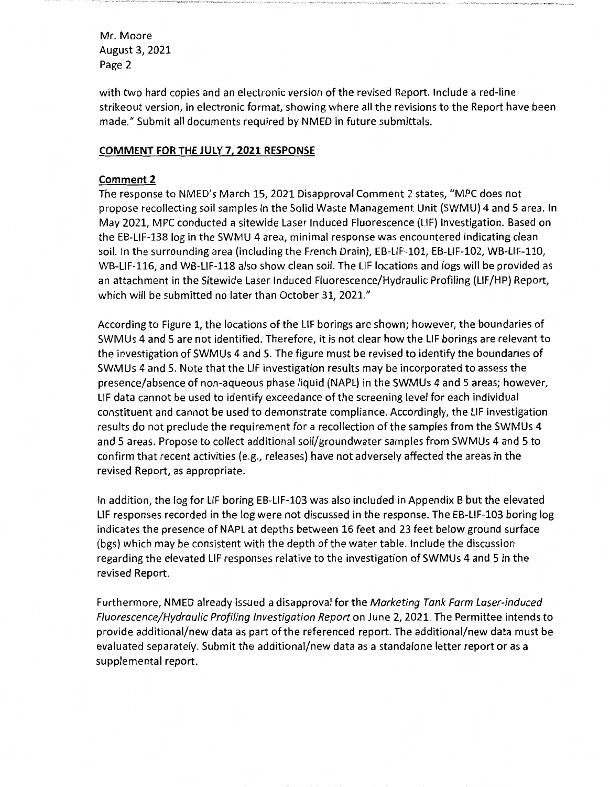Mr. Moore August 3, 2021 Page 2

with two hard copies and an electronic version of the revised Report. Include a red-line strikeout version, in electronic format, showing where all the revisions to the Report have been made." Submit all documents required by NMED in future submittals.

## **COMMENT FOR THE JULY 7, 2021 RESPONSE**

## **Comment 2**

The response to NMED's March 15, 2021 Disapproval Comment 2 states, "MPC does not propose recollecting soil samples in the Solid Waste Management Unit (SWMU) 4 and 5 area. In May 2021, MPC conducted a sitewide Laser Induced Fluorescence (LIF) Investigation. Based on the EB-LIF-138 log in the SWMU 4 area, minimal response was encountered indicating clean soil. In the surrounding area (including the French Drain), EB-LIF-101, EB-LIF-102, WB-LIF-110, WB-LIF-116, and WB-LIF-118 also show clean soil. The LIF locations and logs will be provided as an attachment in the Sitewide Laser Induced Fluorescence/Hydraulic Profiling (LIF/HP) Report, which will be submitted no later than October 31, 2021."

According to Figure 1, the locations of the LIF borings are shown; however, the boundaries of SWMUs 4 and 5 are not identified. Therefore, it is not clear how the LIF borings are relevant to the investigation of SWMUs 4 and 5. The figure must be revised to identify the boundaries of SWMUs 4 and 5. Note that the LIF investigation results may be incorporated to assess the presence/absence of non-aqueous phase liquid (NAPL) in the SWMUs 4 and 5 areas; however, LIF data cannot be used to identify exceedance of the screening level for each individual constituent and cannot be used to demonstrate compliance. Accordingly, the LIF investigation results do not preclude the requirement for a recollection of the samples from the SWMUs 4 and 5 areas. Propose to collect additional soil/groundwater samples from SWMUs 4 and 5 to confirm that recent activities (e.g., releases) have not adversely affected the areas in the revised Report, as appropriate.

In addition, the log for LIF boring EB-LIF-103 was also included in Appendix B but the elevated LIF responses recorded in the log were not discussed in the response. The EB-LIF-103 boring log indicates the presence of NAPL at depths between 16 feet and 23 feet below ground surface (bgs) which may be consistent with the depth of the water table. Include the discussion regarding the elevated LIF responses relative to the investigation of SWMUs 4 and 5 in the revised Report.

Furthermore, NMED already issued a disapproval for the Marketing Tank Farm Laser-induced Fluorescence/Hydraulic Profiling Investigation Report on June 2, 2021. The Permittee intends to provide additional/new data as part of the referenced report. The additional/new data must be evaluated separately. Submit the additional/new data as a standalone letter report or as a supplemental report.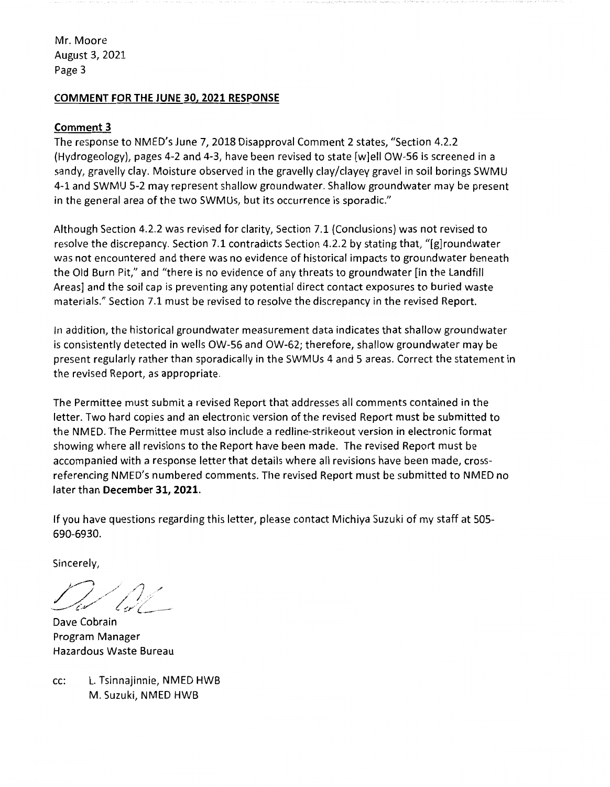Mr. Moore August 3, 2021 Page 3

## **COMMENT FOR THE JUNE 30, 2021 RESPONSE**

### **Comment 3**

The response to NMED's June 7, 2018 Disapproval Comment 2 states, "Section 4.2.2 (Hydrogeology), pages 4-2 and 4-3, have been revised to state [w]ell OW-56 is screened in a sandy, gravelly clay. Moisture observed in the gravelly clay/clayey gravel in soil borings SWMU 4-1 and SWMU 5-2 may represent shallow groundwater. Shallow groundwater may be present in the general area of the two SWMUs, but its occurrence is sporadic."

Although Section 4.2.2 was revised for clarity, Section 7.1 (Conclusions) was not revised to resolve the discrepancy. Section 7.1 contradicts Section 4.2.2 by stating that, "[g]roundwater was not encountered and there was no evidence of historical impacts to groundwater beneath the Old Burn Pit," and "there is no evidence of any threats to groundwater [in the Landfill Areas] and the soil cap is preventing any potential direct contact exposures to buried waste materials." Section 7.1 must be revised to resolve the discrepancy in the revised Report.

In addition, the historical groundwater measurement data indicates that shallow groundwater is consistently detected in wells OW-56 and OW-62; therefore, shallow groundwater may be present regularly rather than sporadically in the SWMUs 4 and 5 areas. Correct the statement in the revised Report, as appropriate.

The Permittee must submit a revised Report that addresses all comments contained in the letter. Two hard copies and an electronic version of the revised Report must be submitted to the NMED. The Permittee must also include a redline-strikeout version in electronic format showing where all revisions to the Report have been made. The revised Report must be accompanied with a response letter that details where all revisions have been made, crossreferencing NMED's numbered comments. The revised Report must be submitted to NMED no later than **December 31, 2021.** 

If you have questions regarding this letter, please contact Michiya Suzuki of my staff at 505- 690-6930.

Sincerely,

. ,......-. / / *///,,/* ·//;:"' , *,,,,,.,,~ ....* / *,··./*  ·-- - *~r {.* -···-····-

Dave Cobrain Program Manager Hazardous Waste Bureau

cc: L. Tsinnajinnie, NMED HWB M. Suzuki, NMED HWB